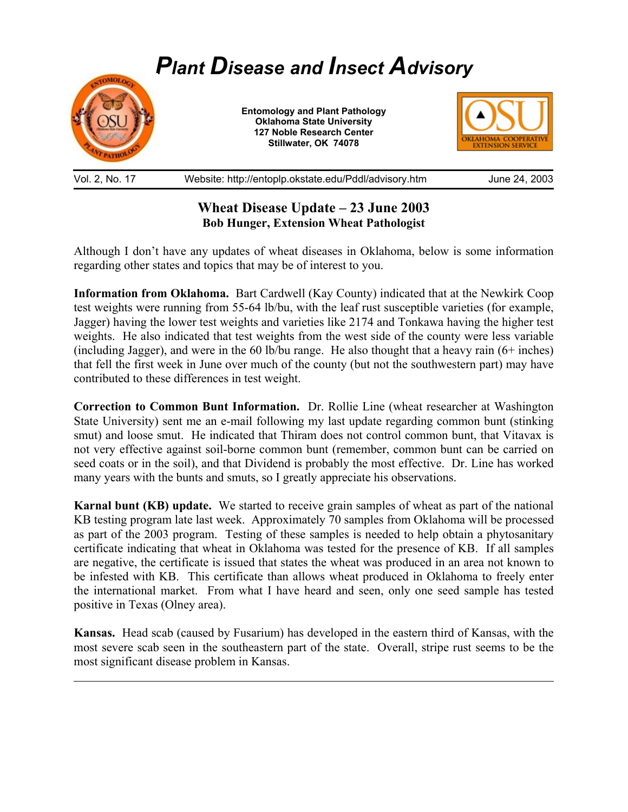

Vol. 2, No. 17 Website: http://entoplp.okstate.edu/Pddl/advisory.htm June 24, 2003

## **Wheat Disease Update – 23 June 2003 Bob Hunger, Extension Wheat Pathologist**

Although I don't have any updates of wheat diseases in Oklahoma, below is some information regarding other states and topics that may be of interest to you.

**Information from Oklahoma.** Bart Cardwell (Kay County) indicated that at the Newkirk Coop test weights were running from 55-64 lb/bu, with the leaf rust susceptible varieties (for example, Jagger) having the lower test weights and varieties like 2174 and Tonkawa having the higher test weights. He also indicated that test weights from the west side of the county were less variable (including Jagger), and were in the 60 lb/bu range. He also thought that a heavy rain (6+ inches) that fell the first week in June over much of the county (but not the southwestern part) may have contributed to these differences in test weight.

**Correction to Common Bunt Information.** Dr. Rollie Line (wheat researcher at Washington State University) sent me an e-mail following my last update regarding common bunt (stinking smut) and loose smut. He indicated that Thiram does not control common bunt, that Vitavax is not very effective against soil-borne common bunt (remember, common bunt can be carried on seed coats or in the soil), and that Dividend is probably the most effective. Dr. Line has worked many years with the bunts and smuts, so I greatly appreciate his observations.

**Karnal bunt (KB) update.** We started to receive grain samples of wheat as part of the national KB testing program late last week. Approximately 70 samples from Oklahoma will be processed as part of the 2003 program. Testing of these samples is needed to help obtain a phytosanitary certificate indicating that wheat in Oklahoma was tested for the presence of KB. If all samples are negative, the certificate is issued that states the wheat was produced in an area not known to be infested with KB. This certificate than allows wheat produced in Oklahoma to freely enter the international market. From what I have heard and seen, only one seed sample has tested positive in Texas (Olney area).

**Kansas.** Head scab (caused by Fusarium) has developed in the eastern third of Kansas, with the most severe scab seen in the southeastern part of the state. Overall, stripe rust seems to be the most significant disease problem in Kansas.

 $\overline{a}$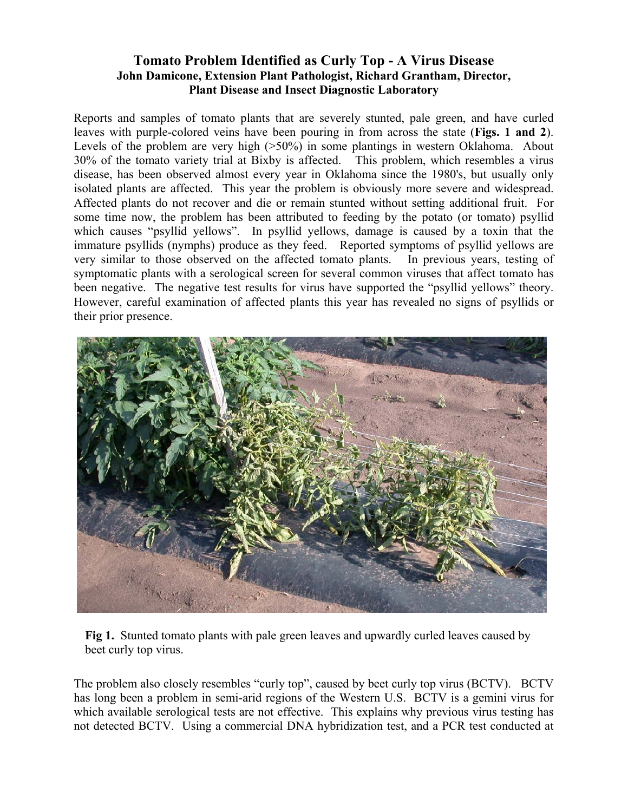## **Tomato Problem Identified as Curly Top - A Virus Disease John Damicone, Extension Plant Pathologist, Richard Grantham, Director, Plant Disease and Insect Diagnostic Laboratory**

Reports and samples of tomato plants that are severely stunted, pale green, and have curled leaves with purple-colored veins have been pouring in from across the state (**Figs. 1 and 2**). Levels of the problem are very high ( $>50\%$ ) in some plantings in western Oklahoma. About 30% of the tomato variety trial at Bixby is affected. This problem, which resembles a virus disease, has been observed almost every year in Oklahoma since the 1980's, but usually only isolated plants are affected. This year the problem is obviously more severe and widespread. Affected plants do not recover and die or remain stunted without setting additional fruit. For some time now, the problem has been attributed to feeding by the potato (or tomato) psyllid which causes "psyllid yellows". In psyllid yellows, damage is caused by a toxin that the immature psyllids (nymphs) produce as they feed. Reported symptoms of psyllid yellows are very similar to those observed on the affected tomato plants. In previous years, testing of symptomatic plants with a serological screen for several common viruses that affect tomato has been negative. The negative test results for virus have supported the "psyllid yellows" theory. However, careful examination of affected plants this year has revealed no signs of psyllids or their prior presence.



**Fig 1.** Stunted tomato plants with pale green leaves and upwardly curled leaves caused by beet curly top virus.

The problem also closely resembles "curly top", caused by beet curly top virus (BCTV). BCTV has long been a problem in semi-arid regions of the Western U.S. BCTV is a gemini virus for which available serological tests are not effective. This explains why previous virus testing has not detected BCTV. Using a commercial DNA hybridization test, and a PCR test conducted at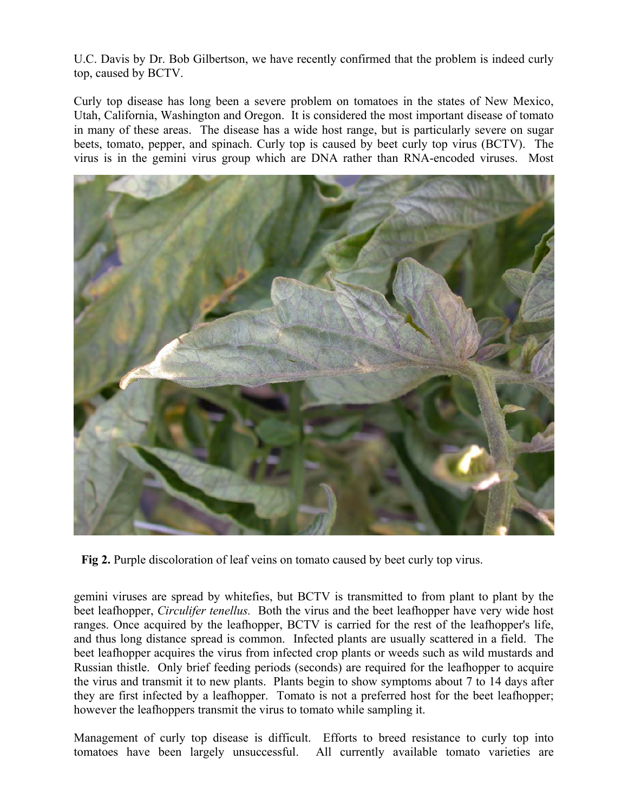U.C. Davis by Dr. Bob Gilbertson, we have recently confirmed that the problem is indeed curly top, caused by BCTV.

Curly top disease has long been a severe problem on tomatoes in the states of New Mexico, Utah, California, Washington and Oregon. It is considered the most important disease of tomato in many of these areas. The disease has a wide host range, but is particularly severe on sugar beets, tomato, pepper, and spinach. Curly top is caused by beet curly top virus (BCTV). The virus is in the gemini virus group which are DNA rather than RNA-encoded viruses. Most



**Fig 2.** Purple discoloration of leaf veins on tomato caused by beet curly top virus.

gemini viruses are spread by whitefies, but BCTV is transmitted to from plant to plant by the beet leafhopper, *Circulifer tenellus.* Both the virus and the beet leafhopper have very wide host ranges. Once acquired by the leafhopper, BCTV is carried for the rest of the leafhopper's life, and thus long distance spread is common. Infected plants are usually scattered in a field. The beet leafhopper acquires the virus from infected crop plants or weeds such as wild mustards and Russian thistle. Only brief feeding periods (seconds) are required for the leafhopper to acquire the virus and transmit it to new plants. Plants begin to show symptoms about 7 to 14 days after they are first infected by a leafhopper. Tomato is not a preferred host for the beet leafhopper; however the leafhoppers transmit the virus to tomato while sampling it.

Management of curly top disease is difficult. Efforts to breed resistance to curly top into tomatoes have been largely unsuccessful. All currently available tomato varieties are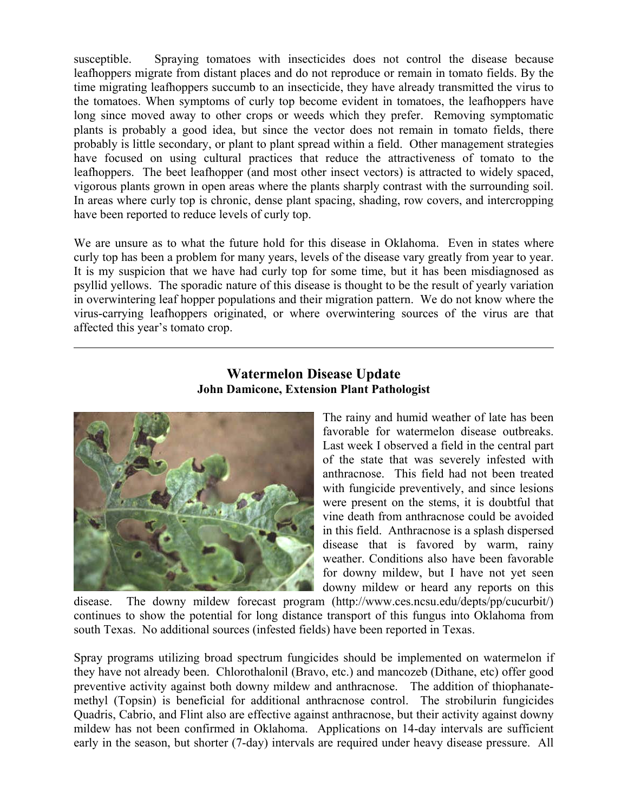susceptible. Spraying tomatoes with insecticides does not control the disease because leafhoppers migrate from distant places and do not reproduce or remain in tomato fields. By the time migrating leafhoppers succumb to an insecticide, they have already transmitted the virus to the tomatoes. When symptoms of curly top become evident in tomatoes, the leafhoppers have long since moved away to other crops or weeds which they prefer. Removing symptomatic plants is probably a good idea, but since the vector does not remain in tomato fields, there probably is little secondary, or plant to plant spread within a field. Other management strategies have focused on using cultural practices that reduce the attractiveness of tomato to the leafhoppers. The beet leafhopper (and most other insect vectors) is attracted to widely spaced, vigorous plants grown in open areas where the plants sharply contrast with the surrounding soil. In areas where curly top is chronic, dense plant spacing, shading, row covers, and intercropping have been reported to reduce levels of curly top.

We are unsure as to what the future hold for this disease in Oklahoma. Even in states where curly top has been a problem for many years, levels of the disease vary greatly from year to year. It is my suspicion that we have had curly top for some time, but it has been misdiagnosed as psyllid yellows. The sporadic nature of this disease is thought to be the result of yearly variation in overwintering leaf hopper populations and their migration pattern. We do not know where the virus-carrying leafhoppers originated, or where overwintering sources of the virus are that affected this year's tomato crop.

## **Watermelon Disease Update John Damicone, Extension Plant Pathologist**



 $\overline{a}$ 

The rainy and humid weather of late has been favorable for watermelon disease outbreaks. Last week I observed a field in the central part of the state that was severely infested with anthracnose. This field had not been treated with fungicide preventively, and since lesions were present on the stems, it is doubtful that vine death from anthracnose could be avoided in this field. Anthracnose is a splash dispersed disease that is favored by warm, rainy weather. Conditions also have been favorable for downy mildew, but I have not yet seen downy mildew or heard any reports on this

disease. The downy mildew forecast program (http://www.ces.ncsu.edu/depts/pp/cucurbit/) continues to show the potential for long distance transport of this fungus into Oklahoma from south Texas. No additional sources (infested fields) have been reported in Texas.

Spray programs utilizing broad spectrum fungicides should be implemented on watermelon if they have not already been. Chlorothalonil (Bravo, etc.) and mancozeb (Dithane, etc) offer good preventive activity against both downy mildew and anthracnose. The addition of thiophanatemethyl (Topsin) is beneficial for additional anthracnose control. The strobilurin fungicides Quadris, Cabrio, and Flint also are effective against anthracnose, but their activity against downy mildew has not been confirmed in Oklahoma. Applications on 14-day intervals are sufficient early in the season, but shorter (7-day) intervals are required under heavy disease pressure. All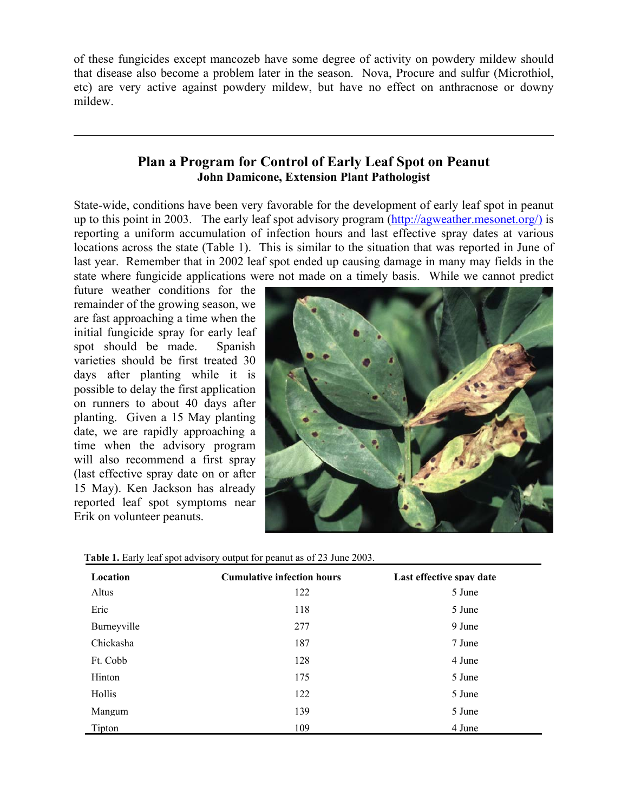of these fungicides except mancozeb have some degree of activity on powdery mildew should that disease also become a problem later in the season. Nova, Procure and sulfur (Microthiol, etc) are very active against powdery mildew, but have no effect on anthracnose or downy mildew.

## **Plan a Program for Control of Early Leaf Spot on Peanut John Damicone, Extension Plant Pathologist**

State-wide, conditions have been very favorable for the development of early leaf spot in peanut up to this point in 2003. The early leaf spot advisory program (http://agweather.mesonet.org/) is reporting a uniform accumulation of infection hours and last effective spray dates at various locations across the state (Table 1). This is similar to the situation that was reported in June of last year. Remember that in 2002 leaf spot ended up causing damage in many may fields in the state where fungicide applications were not made on a timely basis. While we cannot predict

future weather conditions for the remainder of the growing season, we are fast approaching a time when the initial fungicide spray for early leaf spot should be made. Spanish varieties should be first treated 30 days after planting while it is possible to delay the first application on runners to about 40 days after planting. Given a 15 May planting date, we are rapidly approaching a time when the advisory program will also recommend a first spray (last effective spray date on or after 15 May). Ken Jackson has already reported leaf spot symptoms near Erik on volunteer peanuts.

 $\overline{a}$ 



 **Table 1.** Early leaf spot advisory output for peanut as of 23 June 2003.

| Location    | <b>Cumulative infection hours</b> | Last effective spay date |
|-------------|-----------------------------------|--------------------------|
| Altus       | 122                               | 5 June                   |
| Eric        | 118                               | 5 June                   |
| Burneyville | 277                               | 9 June                   |
| Chickasha   | 187                               | 7 June                   |
| Ft. Cobb    | 128                               | 4 June                   |
| Hinton      | 175                               | 5 June                   |
| Hollis      | 122                               | 5 June                   |
| Mangum      | 139                               | 5 June                   |
| Tipton      | 109                               | 4 June                   |